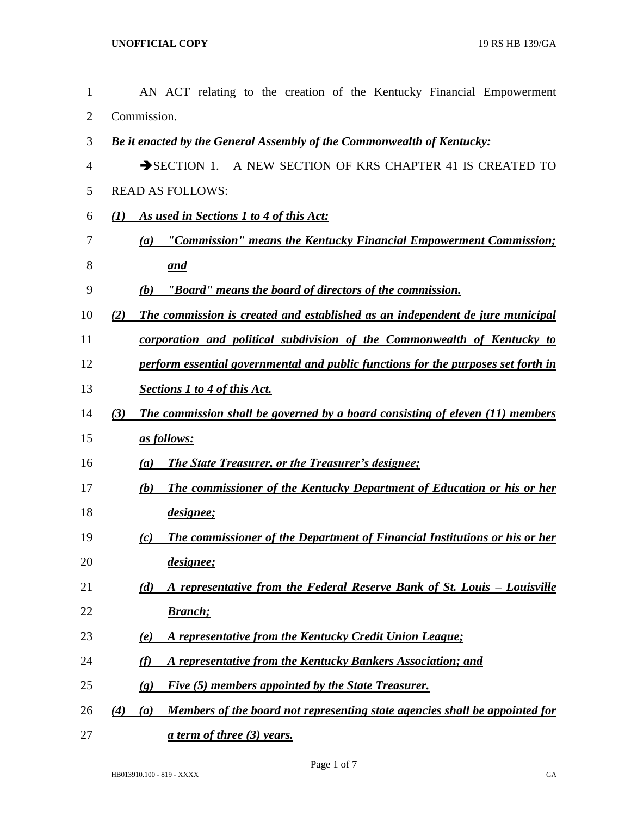| 1              | AN ACT relating to the creation of the Kentucky Financial Empowerment                     |
|----------------|-------------------------------------------------------------------------------------------|
| $\overline{2}$ | Commission.                                                                               |
| 3              | Be it enacted by the General Assembly of the Commonwealth of Kentucky:                    |
| $\overline{4}$ | SECTION 1. A NEW SECTION OF KRS CHAPTER 41 IS CREATED TO                                  |
| 5              | <b>READ AS FOLLOWS:</b>                                                                   |
| 6              | As used in Sections 1 to 4 of this Act:<br>(I)                                            |
| 7              | "Commission" means the Kentucky Financial Empowerment Commission;<br>(a)                  |
| 8              | and                                                                                       |
| 9              | "Board" means the board of directors of the commission.<br>(b)                            |
| 10             | The commission is created and established as an independent de jure municipal<br>(2)      |
| 11             | corporation and political subdivision of the Commonwealth of Kentucky to                  |
| 12             | perform essential governmental and public functions for the purposes set forth in         |
| 13             | <b>Sections 1 to 4 of this Act.</b>                                                       |
| 14             | The commission shall be governed by a board consisting of eleven (11) members<br>(3)      |
| 15             | as follows:                                                                               |
| 16             | <b>The State Treasurer, or the Treasurer's designee;</b><br>(a)                           |
| 17             | <b>The commissioner of the Kentucky Department of Education or his or her</b><br>(b)      |
| 18             | designee;                                                                                 |
| 19             | The commissioner of the Department of Financial Institutions or his or her<br>(c)         |
| 20             | <i>designee</i> ;                                                                         |
| 21             | A representative from the Federal Reserve Bank of St. Louis - Louisville<br>(d)           |
| 22             | <b>Branch</b> ;                                                                           |
| 23             | A representative from the Kentucky Credit Union League;<br>(e)                            |
| 24             | A representative from the Kentucky Bankers Association; and<br>(f)                        |
| 25             | Five (5) members appointed by the State Treasurer.<br>$\left( \mathbf{g} \right)$         |
| 26             | Members of the board not representing state agencies shall be appointed for<br>(4)<br>(a) |
| 27             | <u>a term of three (3) years.</u>                                                         |

Page 1 of 7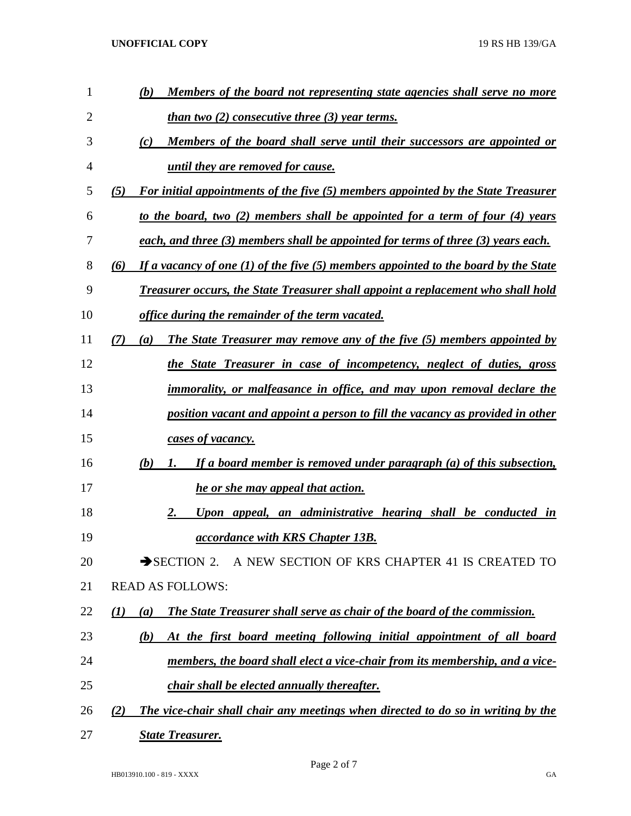**UNOFFICIAL COPY** 19 RS HB 139/GA

| 1  | Members of the board not representing state agencies shall serve no more<br>(b)                |
|----|------------------------------------------------------------------------------------------------|
| 2  | <u>than two (2) consecutive three (3) year terms.</u>                                          |
| 3  | (c)<br>Members of the board shall serve until their successors are appointed or                |
| 4  | until they are removed for cause.                                                              |
| 5  | For initial appointments of the five (5) members appointed by the State Treasurer<br>(5)       |
| 6  | to the board, two (2) members shall be appointed for a term of four (4) years                  |
| 7  | each, and three (3) members shall be appointed for terms of three (3) years each.              |
| 8  | If a vacancy of one $(1)$ of the five $(5)$ members appointed to the board by the State<br>(6) |
| 9  | <b>Treasurer occurs, the State Treasurer shall appoint a replacement who shall hold</b>        |
| 10 | office during the remainder of the term vacated.                                               |
| 11 | The State Treasurer may remove any of the five (5) members appointed by<br>(7)<br>(a)          |
| 12 | the State Treasurer in case of incompetency, neglect of duties, gross                          |
| 13 | <i>immorality, or malfeasance in office, and may upon removal declare the</i>                  |
| 14 | position vacant and appoint a person to fill the vacancy as provided in other                  |
| 15 | cases of vacancy.                                                                              |
| 16 | (b)<br>If a board member is removed under paragraph (a) of this subsection,<br>Ι.              |
| 17 | he or she may appeal that action.                                                              |
| 18 | 2.<br>Upon appeal, an administrative hearing shall be conducted in                             |
| 19 | <i>accordance with KRS Chapter 13B.</i>                                                        |
| 20 | SECTION 2. A NEW SECTION OF KRS CHAPTER 41 IS CREATED TO                                       |
| 21 | <b>READ AS FOLLOWS:</b>                                                                        |
| 22 | <b>The State Treasurer shall serve as chair of the board of the commission.</b><br>(I)<br>(a)  |
| 23 | At the first board meeting following initial appointment of all board<br>(b)                   |
| 24 | members, the board shall elect a vice-chair from its membership, and a vice-                   |
| 25 | <i>chair shall be elected annually thereafter.</i>                                             |
| 26 | The vice-chair shall chair any meetings when directed to do so in writing by the<br>(2)        |
| 27 | <b>State Treasurer.</b>                                                                        |

Page 2 of 7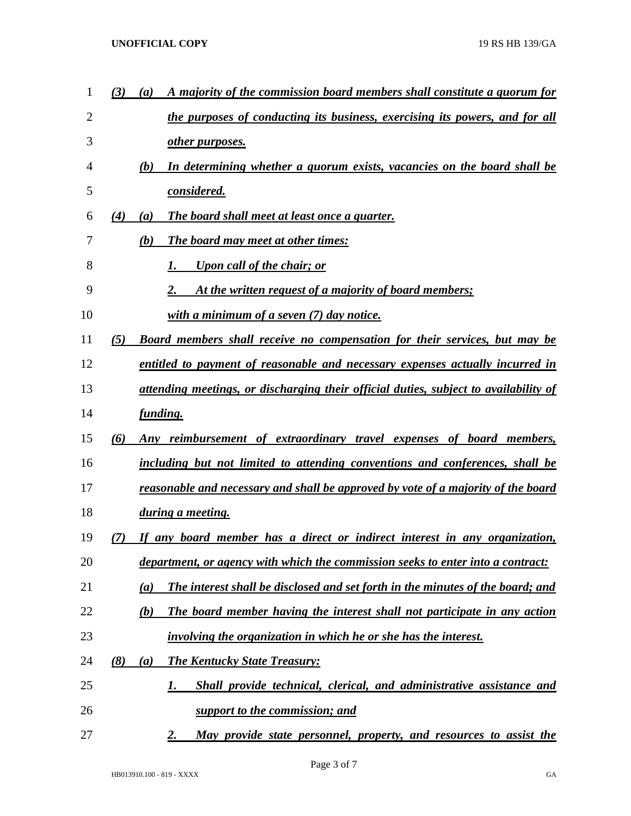| 1              | A majority of the commission board members shall constitute a quorum for<br>(3)<br>(a)   |
|----------------|------------------------------------------------------------------------------------------|
| $\overline{2}$ | the purposes of conducting its business, exercising its powers, and for all              |
| 3              | other purposes.                                                                          |
| 4              | In determining whether a quorum exists, vacancies on the board shall be<br>(b)           |
| 5              | considered.                                                                              |
| 6              | The board shall meet at least once a quarter.<br>(4)<br>(a)                              |
| 7              | The board may meet at other times:<br>(b)                                                |
| 8              | <b>Upon call of the chair; or</b>                                                        |
| 9              | At the written request of a majority of board members;<br>2.                             |
| 10             | with a minimum of a seven $(7)$ day notice.                                              |
| 11             | <b>Board members shall receive no compensation for their services, but may be</b><br>(5) |
| 12             | entitled to payment of reasonable and necessary expenses actually incurred in            |
| 13             | attending meetings, or discharging their official duties, subject to availability of     |
| 14             | <i>funding.</i>                                                                          |
| 15             | Any reimbursement of extraordinary travel expenses of board members,<br>(6)              |
| 16             | including but not limited to attending conventions and conferences, shall be             |
| 17             | reasonable and necessary and shall be approved by vote of a majority of the board        |
| 18             | <i>during a meeting.</i>                                                                 |
| 19             | If any board member has a direct or indirect interest in any organization,<br>(7)        |
| 20             | department, or agency with which the commission seeks to enter into a contract:          |
| 21             | The interest shall be disclosed and set forth in the minutes of the board; and<br>(a)    |
| 22             | The board member having the interest shall not participate in any action<br>(b)          |
| 23             | involving the organization in which he or she has the interest.                          |
| 24             | (8)<br><b>The Kentucky State Treasury:</b><br>(a)                                        |
| 25             | Shall provide technical, clerical, and administrative assistance and<br>1.               |
| 26             | support to the commission; and                                                           |
| 27             | May provide state personnel, property, and resources to assist the<br>2.                 |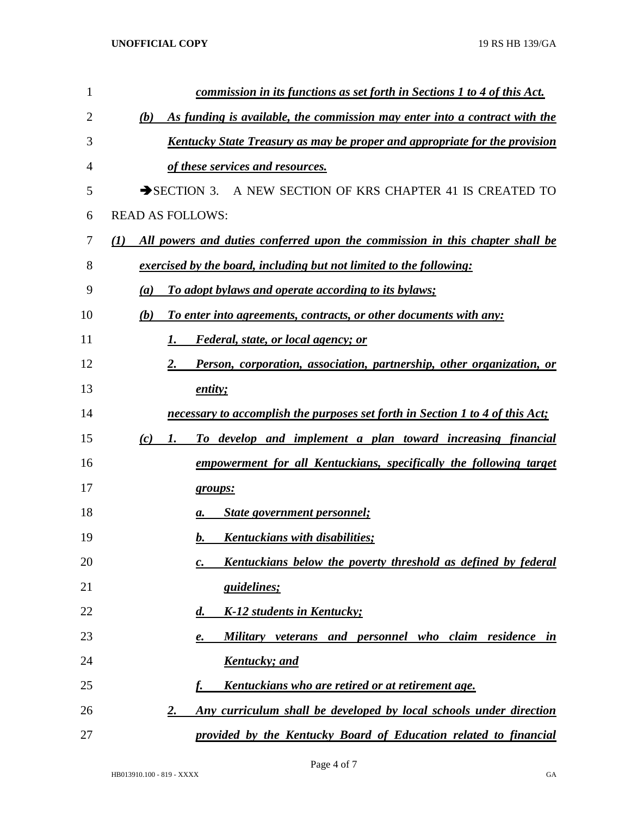| 1  | <u>commission in its functions as set forth in Sections 1 to 4 of this Act.</u>                  |
|----|--------------------------------------------------------------------------------------------------|
| 2  | As funding is available, the commission may enter into a contract with the<br>(b)                |
| 3  | Kentucky State Treasury as may be proper and appropriate for the provision                       |
| 4  | of these services and resources.                                                                 |
| 5  | $\rightarrow$ SECTION 3.<br>A NEW SECTION OF KRS CHAPTER 41 IS CREATED TO                        |
| 6  | <b>READ AS FOLLOWS:</b>                                                                          |
| 7  | All powers and duties conferred upon the commission in this chapter shall be<br>$\mathcal{L}(I)$ |
| 8  | exercised by the board, including but not limited to the following:                              |
| 9  | To adopt bylaws and operate according to its bylaws;<br>$\left(a\right)$                         |
| 10 | To enter into agreements, contracts, or other documents with any:<br>(b)                         |
| 11 | <i>Federal, state, or local agency; or</i><br>1.                                                 |
| 12 | Person, corporation, association, partnership, other organization, or<br>2.                      |
| 13 | entity;                                                                                          |
| 14 | necessary to accomplish the purposes set forth in Section 1 to 4 of this Act;                    |
| 15 | To develop and implement a plan toward increasing financial<br>(c)<br>1.                         |
| 16 | empowerment for all Kentuckians, specifically the following target                               |
| 17 | groups:                                                                                          |
| 18 | <b>State government personnel;</b><br>а.                                                         |
| 19 | Kentuckians with disabilities;<br>b.                                                             |
| 20 | Kentuckians below the poverty threshold as defined by federal<br>c.                              |
| 21 | <i>guidelines;</i>                                                                               |
| 22 | K-12 students in Kentucky;<br>$\boldsymbol{d}$ .                                                 |
| 23 | Military veterans and personnel who claim residence in<br>e.                                     |
| 24 | <b>Kentucky</b> ; and                                                                            |
| 25 | Kentuckians who are retired or at retirement age.<br>f.                                          |
| 26 | Any curriculum shall be developed by local schools under direction<br><u>2.</u>                  |
| 27 | provided by the Kentucky Board of Education related to financial                                 |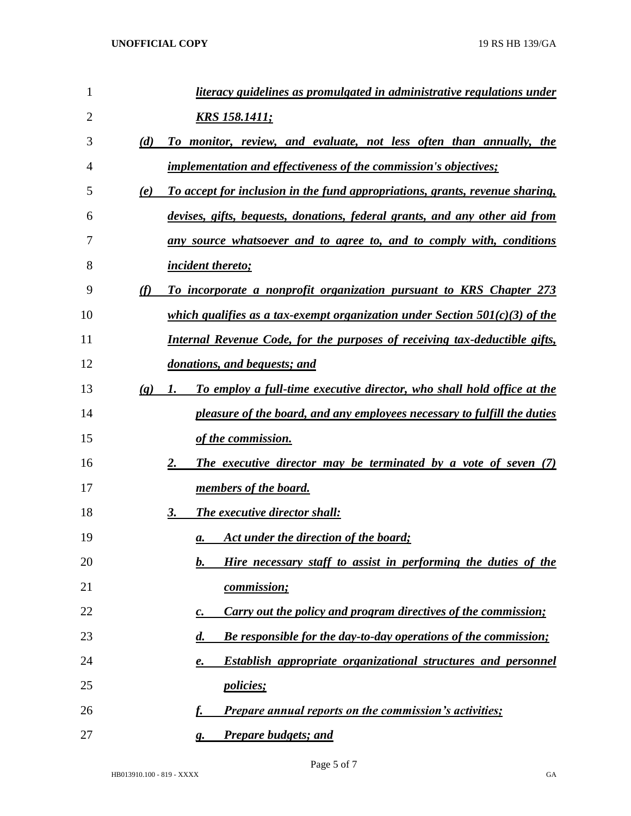| $\mathbf{1}$ |                             | literacy guidelines as promulgated in administrative regulations under                               |
|--------------|-----------------------------|------------------------------------------------------------------------------------------------------|
| 2            |                             | <u>KRS 158.1411;</u>                                                                                 |
| 3            | (d)                         | To monitor, review, and evaluate, not less often than annually, the                                  |
| 4            |                             | <i>implementation and effectiveness of the commission's objectives;</i>                              |
| 5            | (e)                         | To accept for inclusion in the fund appropriations, grants, revenue sharing,                         |
| 6            |                             | devises, gifts, bequests, donations, federal grants, and any other aid from                          |
| 7            |                             | any source whatsoever and to agree to, and to comply with, conditions                                |
| 8            |                             | <i><u><b>incident thereto;</b></u></i>                                                               |
| 9            | (f)                         | To incorporate a nonprofit organization pursuant to KRS Chapter 273                                  |
| 10           |                             | which qualifies as a tax-exempt organization under Section $501(c)(3)$ of the                        |
| 11           |                             | <b>Internal Revenue Code, for the purposes of receiving tax-deductible gifts,</b>                    |
| 12           |                             | donations, and bequests; and                                                                         |
| 13           | $\left( \mathbf{g} \right)$ | To employ a full-time executive director, who shall hold office at the<br>1.                         |
| 14           |                             | pleasure of the board, and any employees necessary to fulfill the duties                             |
| 15           |                             | of the commission.                                                                                   |
| 16           |                             | 2.<br>The executive director may be terminated by a vote of seven (7)                                |
| 17           |                             | <u>members of the board.</u>                                                                         |
| 18           |                             | The executive director shall:<br>3.                                                                  |
| 19           |                             | Act under the direction of the board;<br>а.                                                          |
| 20           |                             | Hire necessary staff to assist in performing the duties of the<br>b.                                 |
| 21           |                             | commission;                                                                                          |
| 22           |                             | <b>Carry out the policy and program directives of the commission;</b><br>$\boldsymbol{c}$ .          |
| 23           |                             | <b>Be responsible for the day-to-day operations of the commission;</b><br>$\boldsymbol{d}$ .         |
| 24           |                             | <b>Establish appropriate organizational structures and personnel</b><br>$\boldsymbol{\mathcal{e}}$ . |
| 25           |                             | <i>policies</i> ;                                                                                    |
| 26           |                             | <b>Prepare annual reports on the commission's activities;</b>                                        |
| 27           |                             | <b>Prepare budgets; and</b><br>g.                                                                    |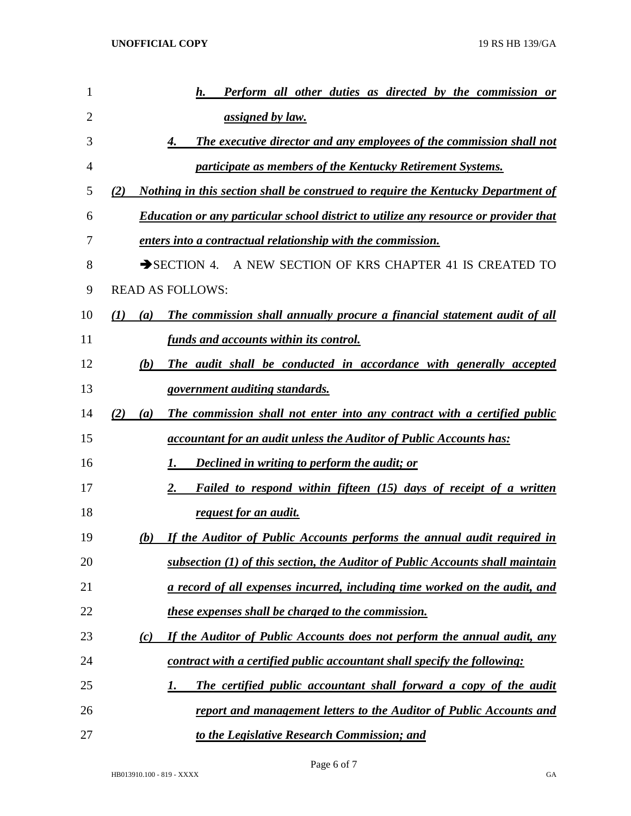| 1  |     | Perform all other duties as directed by the commission or<br>h.                             |
|----|-----|---------------------------------------------------------------------------------------------|
| 2  |     | assigned by law.                                                                            |
| 3  |     | The executive director and any employees of the commission shall not<br>4.                  |
| 4  |     | participate as members of the Kentucky Retirement Systems.                                  |
| 5  | (2) | <u>Nothing in this section shall be construed to require the Kentucky Department of</u>     |
| 6  |     | <b>Education or any particular school district to utilize any resource or provider that</b> |
| 7  |     | enters into a contractual relationship with the commission.                                 |
| 8  |     | $\rightarrow$ SECTION 4. A NEW SECTION OF KRS CHAPTER 41 IS CREATED TO                      |
| 9  |     | <b>READ AS FOLLOWS:</b>                                                                     |
| 10 | (I) | The commission shall annually procure a financial statement audit of all<br>(a)             |
| 11 |     | funds and accounts within its control.                                                      |
| 12 |     | (b)<br>The audit shall be conducted in accordance with generally accepted                   |
| 13 |     | government auditing standards.                                                              |
| 14 | (2) | The commission shall not enter into any contract with a certified public<br>(a)             |
| 15 |     | accountant for an audit unless the Auditor of Public Accounts has:                          |
| 16 |     | <b>Declined in writing to perform the audit; or</b><br>Ι.                                   |
| 17 |     | 2.<br>Failed to respond within fifteen (15) days of receipt of a written                    |
| 18 |     | <u>request for an audit.</u>                                                                |
| 19 |     | If the Auditor of Public Accounts performs the annual audit required in<br>(b)              |
| 20 |     | subsection (1) of this section, the Auditor of Public Accounts shall maintain               |
| 21 |     | <u>a record of all expenses incurred, including time worked on the audit, and </u>          |
| 22 |     | <i>these expenses shall be charged to the commission.</i>                                   |
| 23 |     | If the Auditor of Public Accounts does not perform the annual audit, any<br>(c)             |
| 24 |     | contract with a certified public accountant shall specify the following:                    |
| 25 |     | The certified public accountant shall forward a copy of the audit<br>1.                     |
| 26 |     | <u>report and management letters to the Auditor of Public Accounts and</u>                  |
| 27 |     | to the Legislative Research Commission; and                                                 |